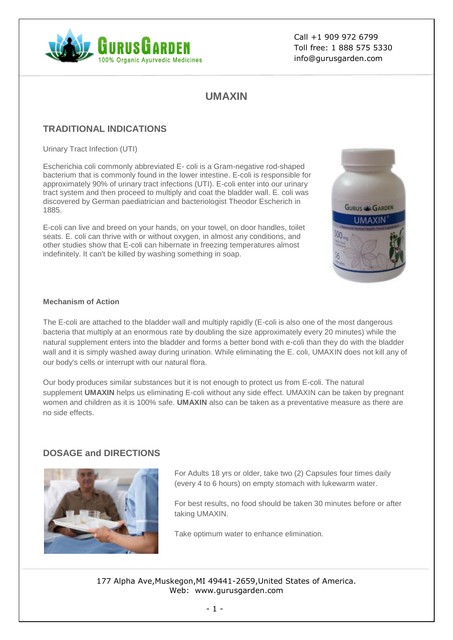

Call +1 909 972 6799 Toll free: 1 888 575 5330 info@gurusgarden.com

# **UMAXIN**

## **TRADITIONAL INDICATIONS**

Urinary Tract Infection (UTI)

Escherichia coli commonly abbreviated E- coli is a Gram-negative rod-shaped bacterium that is commonly found in the lower intestine. E-coli is responsible for approximately 90% of urinary tract infections (UTI). E-coli enter into our urinary tract system and then proceed to multiply and coat the bladder wall. E. coli was discovered by German paediatrician and bacteriologist Theodor Escherich in 1885.

E-coli can live and breed on your hands, on your towel, on door handles, toilet seats. E. coli can thrive with or without oxygen, in almost any conditions, and other studies show that E-coli can hibernate in freezing temperatures almost indefinitely. It can't be killed by washing something in soap.



#### **Mechanism of Action**

The E-coli are attached to the bladder wall and multiply rapidly (E-coli is also one of the most dangerous bacteria that multiply at an enormous rate by doubling the size approximately every 20 minutes) while the natural supplement enters into the bladder and forms a better bond with e-coli than they do with the bladder wall and it is simply washed away during urination. While eliminating the E. coli, UMAXIN does not kill any of our body's cells or interrupt with our natural flora.

Our body produces similar substances but it is not enough to protect us from E-coli. The natural supplement **UMAXIN** helps us eliminating E-coli without any side effect. UMAXIN can be taken by pregnant women and children as it is 100% safe. **UMAXIN** also can be taken as a preventative measure as there are no side effects.

### **DOSAGE and DIRECTIONS**



For Adults 18 yrs or older, take two (2) Capsules four times daily (every 4 to 6 hours) on empty stomach with lukewarm water.

For best results, no food should be taken 30 minutes before or after taking UMAXIN.

Take optimum water to enhance elimination.

177 Alpha Ave,Muskegon,MI 49441-2659,United States of America. Web: www.gurusgarden.com